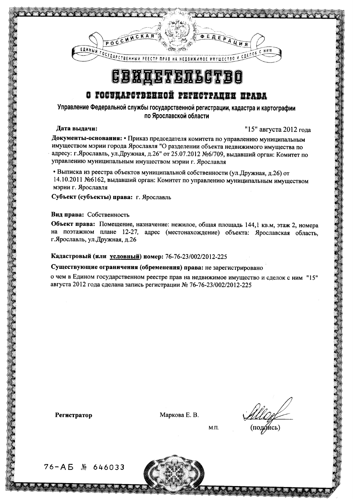

## **CBHTETET5GTBO**

### О ГОСЭДАРСТВЕННОЙ РЕГИСТРАЦИИ ПРАВА

Управление Федеральной службы государственной регистрации, кадастра и картографии по Ярославской области

#### Дата вылачи:

"15" августа 2012 года

Документы-основания: • Приказ председателя комитета по управлению муниципальным имуществом мэрии города Ярославля "О разделении объекта недвижимого имущества по адресу: г.Ярославль, ул.Дружная, д.26" от 25.07.2012 №6/709, выдавший орган: Комитет по управлению муниципальным имуществом мэрии г. Ярославля

• Выписка из реестра объектов муниципальной собственности (ул. Дружная, д.26) от 14.10.2011 №6162, выдавший орган: Комитет по управлению муниципальным имуществом мэрии г. Ярославля

Субъект (субъекты) права: г. Ярославль

#### Вид права: Собственность

Объект права: Помещение, назначение: нежилое, общая площадь 144,1 кв.м, этаж 2, номера на поэтажном плане 12-27, адрес (местонахождение) объекта: Ярославская область, г. Ярославль, ул. Дружная, д.26

#### Кадастровый (или условный) номер: 76-76-23/002/2012-225

Существующие ограничения (обременения) права: не зарегистрировано

о чем в Едином государственном реестре прав на недвижимое имущество и сделок с ним "15" августа 2012 года сделана запись регистрации № 76-76-23/002/2012-225

Регистратор

Маркова Е. В.

(подамсь)

 $M.\Pi.$ 

76-A5 M 646033

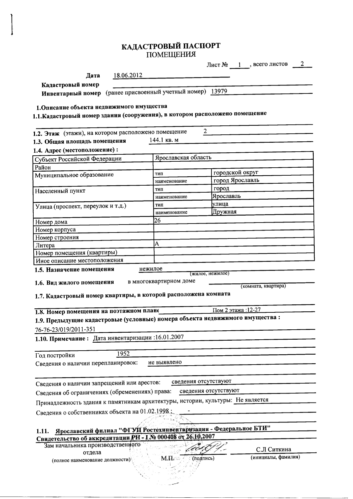# КАДАСТРОВЫЙ ПАСПОРТ<br>ПОМЕЩЕНИЯ

|                                                                                             |            |                                                                  |                  | Лист $N_2$ 1, всего листов _ | 2 |
|---------------------------------------------------------------------------------------------|------------|------------------------------------------------------------------|------------------|------------------------------|---|
| Дата                                                                                        | 18.06.2012 |                                                                  |                  |                              |   |
| Кадастровый номер                                                                           |            |                                                                  |                  |                              |   |
| Инвентарный номер (ранее присвоенный учетный номер) 13979                                   |            |                                                                  |                  |                              |   |
|                                                                                             |            |                                                                  |                  |                              |   |
| 1. Описание объекта недвижимого имущества                                                   |            |                                                                  |                  |                              |   |
| 1.1. Кадастровый номер здания (сооружения), в котором расположено помещение                 |            |                                                                  |                  |                              |   |
| 1.2. Этаж (этажи), на котором расположено помещение                                         |            | 2                                                                |                  |                              |   |
| 1.3. Общая площадь помещения                                                                |            | 144.1 кв. м                                                      |                  |                              |   |
| 1.4. Адрес (местоположение):                                                                |            |                                                                  |                  |                              |   |
| Субъект Российской Федерации                                                                |            | Ярославская область                                              |                  |                              |   |
| Район                                                                                       |            |                                                                  |                  |                              |   |
| Муниципальное образование                                                                   |            | тип                                                              |                  | городской округ              |   |
|                                                                                             |            | наименование                                                     |                  | город Ярославль              |   |
| Населенный пункт                                                                            |            | тип                                                              | город            |                              |   |
|                                                                                             |            | наименование                                                     | Ярославль        |                              |   |
| Улица (проспект, переулок и т.д.)                                                           |            | тип                                                              | улица            |                              |   |
|                                                                                             |            | наименование                                                     | Дружная          |                              |   |
| Номер дома                                                                                  |            | 26                                                               |                  |                              |   |
| Номер корпуса                                                                               |            |                                                                  |                  |                              |   |
| Номер строения                                                                              |            |                                                                  |                  |                              |   |
| Литера                                                                                      |            | A                                                                |                  |                              |   |
| Номер помещения (квартиры)                                                                  |            |                                                                  |                  |                              |   |
| Иное описание местоположения                                                                |            |                                                                  |                  |                              |   |
| 1.5. Назначение помещения                                                                   |            | нежилое                                                          | (жилое, нежилое) |                              |   |
| 1.6. Вид жилого помещения<br>1.7. Кадастровый номер квартиры, в которой расположена комната |            | в многоквартирном доме                                           |                  | (комната, квартира)          |   |
| 1.8. Номер помещения на поэтажном плане                                                     |            |                                                                  |                  | Пом 2 этажа: 12-27           |   |
| 1.9. Предыдущие кадастровые (условные) номера объекта недвижимого имущества:                |            |                                                                  |                  |                              |   |
|                                                                                             |            |                                                                  |                  |                              |   |
| 76-76-23/019/2011-351                                                                       |            |                                                                  |                  |                              |   |
| 1.10. Примечание: Дата инвентаризации: 16.01.2007                                           |            |                                                                  |                  |                              |   |
| Год постройки                                                                               | 1952       |                                                                  |                  |                              |   |
| Сведения о наличии перепланировок:                                                          |            | не выявлено                                                      |                  |                              |   |
|                                                                                             |            |                                                                  |                  |                              |   |
|                                                                                             |            |                                                                  |                  |                              |   |
| Сведения о наличии запрещений или арестов:                                                  |            | сведения отсутствуют                                             |                  |                              |   |
| Сведения об ограничениях (обременениях) права:                                              |            | сведения отсутствуют                                             |                  |                              |   |
| Принадлежность здания к памятникам архитектуры, истории, культуры: Не является              |            |                                                                  |                  |                              |   |
| Сведения о собственниках объекта на 01.02.1998;                                             |            |                                                                  |                  |                              |   |
|                                                                                             |            |                                                                  |                  |                              |   |
|                                                                                             |            | Ярославский филиал "ФГУП Ростехинвентаризация - Федеральное БТИ" |                  |                              |   |
| 1.11.<br>Свидетельство об аккредитации РН - 1№ 000408 от 26.10.2007                         |            |                                                                  |                  |                              |   |
| Зам начальника производственного                                                            |            |                                                                  |                  |                              |   |
| отдела                                                                                      |            |                                                                  |                  | С.Л Ситкина                  |   |
| (полное наименование должности)                                                             |            | (подпись)<br>M.H. C                                              |                  | (инициалы, фамилия)          |   |
|                                                                                             |            |                                                                  |                  |                              |   |
|                                                                                             |            |                                                                  |                  |                              |   |
|                                                                                             |            |                                                                  |                  |                              |   |